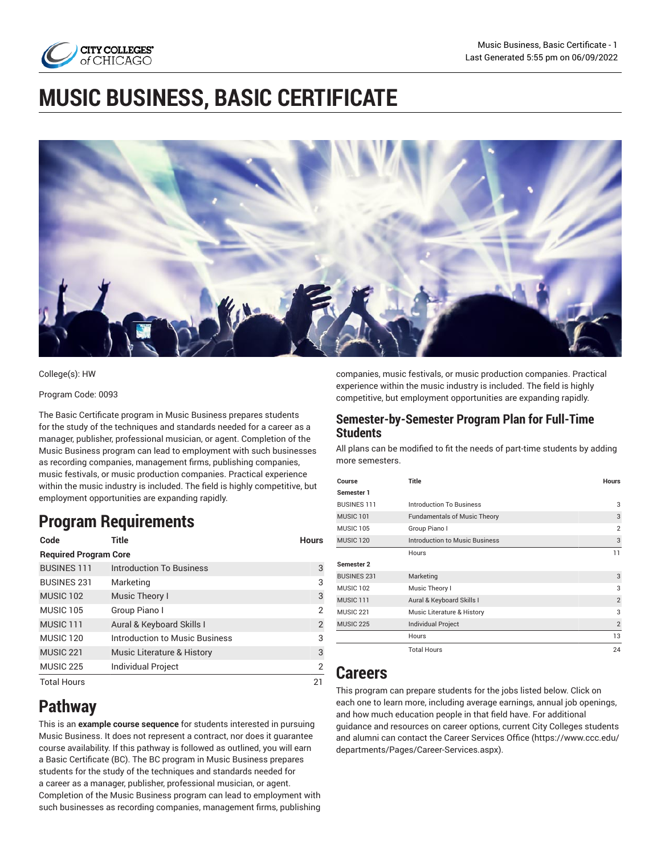

# **MUSIC BUSINESS, BASIC CERTIFICATE**



#### College(s): HW

#### Program Code: 0093

The Basic Certificate program in Music Business prepares students for the study of the techniques and standards needed for a career as a manager, publisher, professional musician, or agent. Completion of the Music Business program can lead to employment with such businesses as recording companies, management firms, publishing companies, music festivals, or music production companies. Practical experience within the music industry is included. The field is highly competitive, but employment opportunities are expanding rapidly.

# **Program Requirements**

| Code                         | Title                          | <b>Hours</b>   |
|------------------------------|--------------------------------|----------------|
| <b>Required Program Core</b> |                                |                |
| <b>BUSINES 111</b>           | Introduction To Business       | 3              |
| <b>BUSINES 231</b>           | Marketing                      | 3              |
| <b>MUSIC 102</b>             | Music Theory I                 | 3              |
| MUSIC <sub>105</sub>         | Group Piano I                  | $\overline{2}$ |
| MUSIC <sub>111</sub>         | Aural & Keyboard Skills I      | 2              |
| MUSIC <sub>120</sub>         | Introduction to Music Business | 3              |
| MUSIC <sub>221</sub>         | Music Literature & History     | 3              |
| MUSIC <sub>225</sub>         | <b>Individual Project</b>      | $\overline{2}$ |
| <b>Total Hours</b>           |                                | 21             |

# **Pathway**

This is an **example course sequence** for students interested in pursuing Music Business. It does not represent a contract, nor does it guarantee course availability. If this pathway is followed as outlined, you will earn a Basic Certificate (BC). The BC program in Music Business prepares students for the study of the techniques and standards needed for a career as a manager, publisher, professional musician, or agent. Completion of the Music Business program can lead to employment with such businesses as recording companies, management firms, publishing

companies, music festivals, or music production companies. Practical experience within the music industry is included. The field is highly competitive, but employment opportunities are expanding rapidly.

### **Semester-by-Semester Program Plan for Full-Time Students**

All plans can be modified to fit the needs of part-time students by adding more semesters.

| Course               | <b>Title</b>                        | <b>Hours</b>   |
|----------------------|-------------------------------------|----------------|
| Semester 1           |                                     |                |
| <b>BUSINES 111</b>   | <b>Introduction To Business</b>     | 3              |
| MUSIC <sub>101</sub> | <b>Fundamentals of Music Theory</b> | 3              |
| <b>MUSIC 105</b>     | Group Piano I                       | $\overline{2}$ |
| MUSIC <sub>120</sub> | Introduction to Music Business      | 3              |
|                      | Hours                               | 11             |
| Semester 2           |                                     |                |
| <b>BUSINES 231</b>   | Marketing                           | 3              |
| MUSIC <sub>102</sub> | Music Theory I                      | 3              |
| MUSIC <sub>111</sub> | Aural & Keyboard Skills I           | $\overline{2}$ |
| MUSIC <sub>221</sub> | Music Literature & History          | 3              |
| <b>MUSIC 225</b>     | Individual Project                  | $\overline{2}$ |
|                      | Hours                               | 13             |
|                      | <b>Total Hours</b>                  | 24             |

# **Careers**

This program can prepare students for the jobs listed below. Click on each one to learn more, including average earnings, annual job openings, and how much education people in that field have. For additional guidance and resources on career options, current City Colleges students and alumni can contact the Career [Services](https://www.ccc.edu/departments/Pages/Career-Services.aspx) Office [\(https://www.ccc.edu/](https://www.ccc.edu/departments/Pages/Career-Services.aspx) [departments/Pages/Career-Services.aspx\)](https://www.ccc.edu/departments/Pages/Career-Services.aspx).